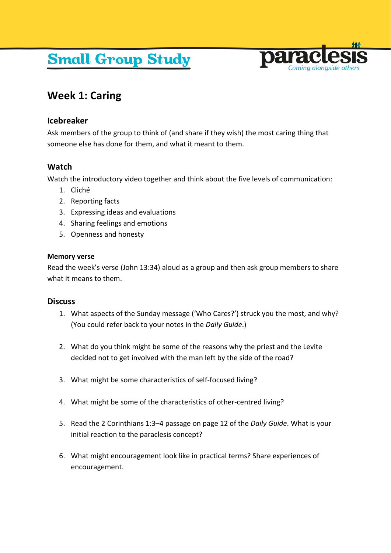# **Small Group Study**



# **Week 1: Caring**

# **Icebreaker**

Ask members of the group to think of (and share if they wish) the most caring thing that someone else has done for them, and what it meant to them.

# **Watch**

Watch the introductory video together and think about the five levels of communication:

- 1. Cliché
- 2. Reporting facts
- 3. Expressing ideas and evaluations
- 4. Sharing feelings and emotions
- 5. Openness and honesty

#### **Memory verse**

Read the week's verse (John 13:34) aloud as a group and then ask group members to share what it means to them.

## **Discuss**

- 1. What aspects of the Sunday message ('Who Cares?') struck you the most, and why? (You could refer back to your notes in the *Daily Guide*.)
- 2. What do you think might be some of the reasons why the priest and the Levite decided not to get involved with the man left by the side of the road?
- 3. What might be some characteristics of self-focused living?
- 4. What might be some of the characteristics of other-centred living?
- 5. Read the 2 Corinthians 1:3–4 passage on page 12 of the *Daily Guide*. What is your initial reaction to the paraclesis concept?
- 6. What might encouragement look like in practical terms? Share experiences of encouragement.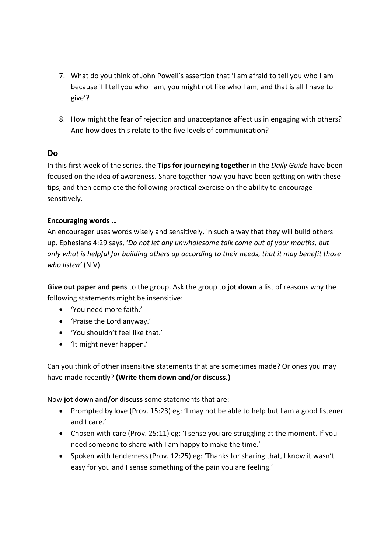- 7. What do you think of John Powell's assertion that 'I am afraid to tell you who I am because if I tell you who I am, you might not like who I am, and that is all I have to give'?
- 8. How might the fear of rejection and unacceptance affect us in engaging with others? And how does this relate to the five levels of communication?

## **Do**

In this first week of the series, the **Tips for journeying together** in the *Daily Guide* have been focused on the idea of awareness. Share together how you have been getting on with these tips, and then complete the following practical exercise on the ability to encourage sensitively.

#### **Encouraging words …**

An encourager uses words wisely and sensitively, in such a way that they will build others up. Ephesians 4:29 says, '*Do not let any unwholesome talk come out of your mouths, but only what is helpful for building others up according to their needs, that it may benefit those who listen'* (NIV).

**Give out paper and pens** to the group. Ask the group to **jot down** a list of reasons why the following statements might be insensitive:

- 'You need more faith.'
- 'Praise the Lord anyway.'
- 'You shouldn't feel like that.'
- 'It might never happen.'

Can you think of other insensitive statements that are sometimes made? Or ones you may have made recently? **(Write them down and/or discuss.)**

Now **jot down and/or discuss** some statements that are:

- Prompted by love (Prov. 15:23) eg: 'I may not be able to help but I am a good listener and I care.'
- Chosen with care (Prov. 25:11) eg: 'I sense you are struggling at the moment. If you need someone to share with I am happy to make the time.'
- Spoken with tenderness (Prov. 12:25) eg: 'Thanks for sharing that, I know it wasn't easy for you and I sense something of the pain you are feeling.'